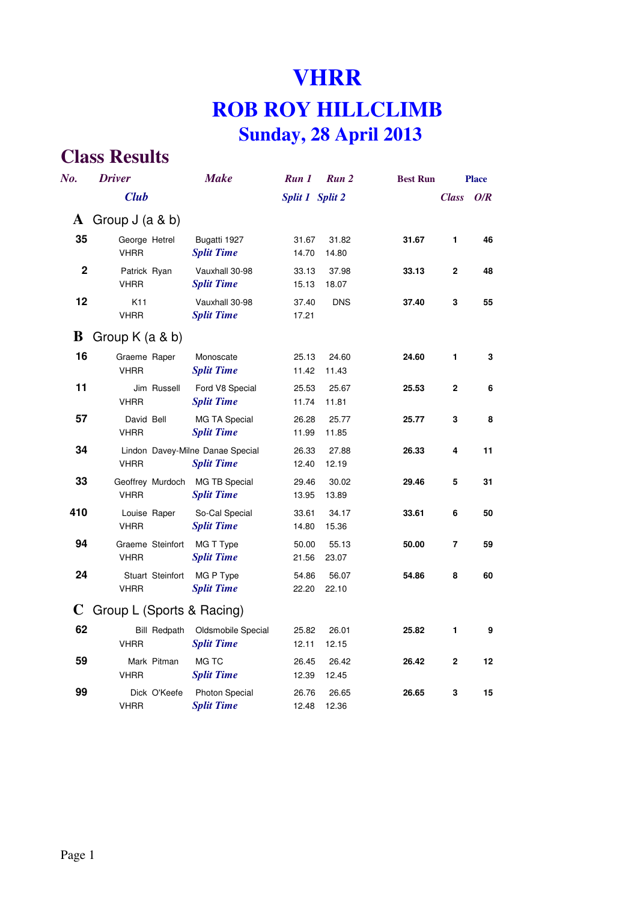# **VHRR ROB ROY HILLCLIMB Sunday, 28 April 2013**

| No.         | <b>Driver</b>                      | <b>Make</b>                                           | Run 1           | Run 2          | <b>Best Run</b> |                | <b>Place</b> |
|-------------|------------------------------------|-------------------------------------------------------|-----------------|----------------|-----------------|----------------|--------------|
|             | <b>Club</b>                        |                                                       | Split 1 Split 2 |                |                 | <b>Class</b>   | O/R          |
| A           | Group $J$ (a & b)                  |                                                       |                 |                |                 |                |              |
| 35          | George Hetrel<br><b>VHRR</b>       | Bugatti 1927<br><b>Split Time</b>                     | 31.67<br>14.70  | 31.82<br>14.80 | 31.67           | 1              | 46           |
| $\mathbf 2$ | Patrick Ryan<br><b>VHRR</b>        | Vauxhall 30-98<br><b>Split Time</b>                   | 33.13<br>15.13  | 37.98<br>18.07 | 33.13           | 2              | 48           |
| 12          | K <sub>11</sub><br><b>VHRR</b>     | Vauxhall 30-98<br><b>Split Time</b>                   | 37.40<br>17.21  | <b>DNS</b>     | 37.40           | 3              | 55           |
| B           | Group $K$ (a & b)                  |                                                       |                 |                |                 |                |              |
| 16          | Graeme Raper<br><b>VHRR</b>        | Monoscate<br><b>Split Time</b>                        | 25.13<br>11.42  | 24.60<br>11.43 | 24.60           | 1              | 3            |
| 11          | Jim Russell<br><b>VHRR</b>         | Ford V8 Special<br><b>Split Time</b>                  | 25.53<br>11.74  | 25.67<br>11.81 | 25.53           | $\overline{2}$ | 6            |
| 57          | David Bell<br><b>VHRR</b>          | <b>MG TA Special</b><br><b>Split Time</b>             | 26.28<br>11.99  | 25.77<br>11.85 | 25.77           | 3              | 8            |
| 34          | <b>VHRR</b>                        | Lindon Davey-Milne Danae Special<br><b>Split Time</b> | 26.33<br>12.40  | 27.88<br>12.19 | 26.33           | 4              | 11           |
| 33          | Geoffrey Murdoch<br><b>VHRR</b>    | MG TB Special<br><b>Split Time</b>                    | 29.46<br>13.95  | 30.02<br>13.89 | 29.46           | 5              | 31           |
| 410         | Louise Raper<br><b>VHRR</b>        | So-Cal Special<br><b>Split Time</b>                   | 33.61<br>14.80  | 34.17<br>15.36 | 33.61           | 6              | 50           |
| 94          | Graeme Steinfort<br><b>VHRR</b>    | MG T Type<br><b>Split Time</b>                        | 50.00<br>21.56  | 55.13<br>23.07 | 50.00           | 7              | 59           |
| 24          | Stuart Steinfort<br><b>VHRR</b>    | MG P Type<br><b>Split Time</b>                        | 54.86<br>22.20  | 56.07<br>22.10 | 54.86           | 8              | 60           |
| C           | Group L (Sports & Racing)          |                                                       |                 |                |                 |                |              |
| 62          | <b>Bill Redpath</b><br><b>VHRR</b> | Oldsmobile Special<br><b>Split Time</b>               | 25.82<br>12.11  | 26.01<br>12.15 | 25.82           | 1              | 9            |
| 59          | Mark Pitman<br><b>VHRR</b>         | MG TC<br><b>Split Time</b>                            | 26.45<br>12.39  | 26.42<br>12.45 | 26.42           | 2              | 12           |
| 99          | Dick O'Keefe<br><b>VHRR</b>        | Photon Special<br><b>Split Time</b>                   | 26.76<br>12.48  | 26.65<br>12.36 | 26.65           | 3              | 15           |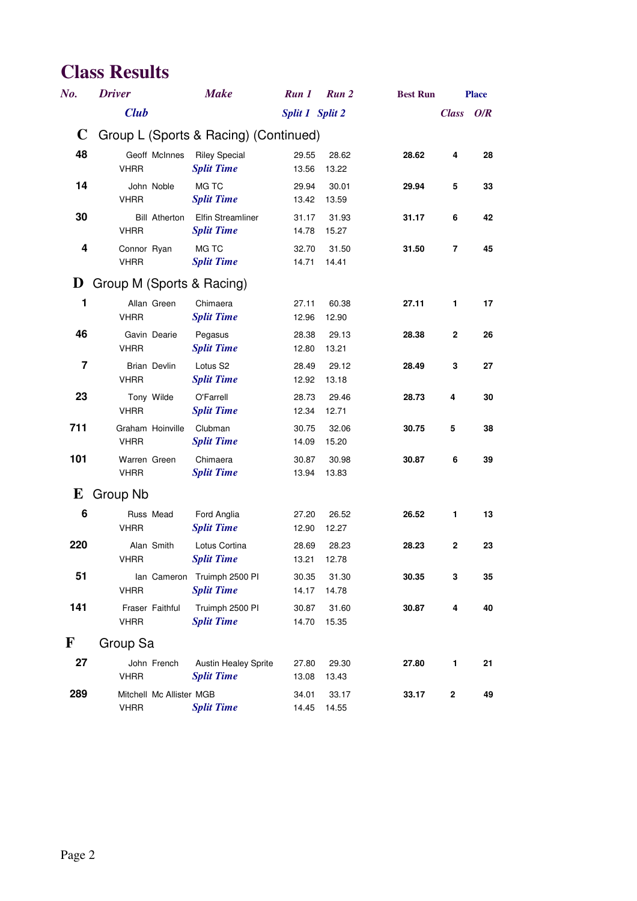| No.          | <b>Driver</b>                           | <b>Make</b>                                      | Run 1           | Run 2          | <b>Best Run</b> |              | <b>Place</b> |
|--------------|-----------------------------------------|--------------------------------------------------|-----------------|----------------|-----------------|--------------|--------------|
|              | <b>Club</b>                             |                                                  | Split 1 Split 2 |                |                 | <b>Class</b> | O/R          |
| $\mathbf C$  | Group L (Sports & Racing) (Continued)   |                                                  |                 |                |                 |              |              |
| 48           | Geoff McInnes<br><b>VHRR</b>            | <b>Riley Special</b><br><b>Split Time</b>        | 29.55<br>13.56  | 28.62<br>13.22 | 28.62           | 4            | 28           |
| 14           | John Noble<br><b>VHRR</b>               | MG TC<br><b>Split Time</b>                       | 29.94<br>13.42  | 30.01<br>13.59 | 29.94           | 5            | 33           |
| 30           | <b>Bill Atherton</b><br><b>VHRR</b>     | <b>Elfin Streamliner</b><br><b>Split Time</b>    | 31.17<br>14.78  | 31.93<br>15.27 | 31.17           | 6            | 42           |
| 4            | Connor Ryan<br><b>VHRR</b>              | MG TC<br><b>Split Time</b>                       | 32.70<br>14.71  | 31.50<br>14.41 | 31.50           | 7            | 45           |
| D            | Group M (Sports & Racing)               |                                                  |                 |                |                 |              |              |
| 1            | Allan Green<br><b>VHRR</b>              | Chimaera<br><b>Split Time</b>                    | 27.11<br>12.96  | 60.38<br>12.90 | 27.11           | 1            | 17           |
| 46           | Gavin Dearie<br><b>VHRR</b>             | Pegasus<br><b>Split Time</b>                     | 28.38<br>12.80  | 29.13<br>13.21 | 28.38           | $\mathbf 2$  | 26           |
| 7            | Brian Devlin<br><b>VHRR</b>             | Lotus S <sub>2</sub><br><b>Split Time</b>        | 28.49<br>12.92  | 29.12<br>13.18 | 28.49           | 3            | 27           |
| 23           | Tony Wilde<br><b>VHRR</b>               | O'Farrell<br><b>Split Time</b>                   | 28.73<br>12.34  | 29.46<br>12.71 | 28.73           | 4            | 30           |
| 711          | Graham Hoinville<br><b>VHRR</b>         | Clubman<br><b>Split Time</b>                     | 30.75<br>14.09  | 32.06<br>15.20 | 30.75           | 5            | 38           |
| 101          | Warren Green<br><b>VHRR</b>             | Chimaera<br><b>Split Time</b>                    | 30.87<br>13.94  | 30.98<br>13.83 | 30.87           | 6            | 39           |
| E            | Group Nb                                |                                                  |                 |                |                 |              |              |
| 6            | Russ Mead<br><b>VHRR</b>                | Ford Anglia<br><b>Split Time</b>                 | 27.20<br>12.90  | 26.52<br>12.27 | 26.52           | $\mathbf{1}$ | 13           |
| 220          | Alan Smith<br><b>VHRR</b>               | Lotus Cortina<br><b>Split Time</b>               | 28.69<br>13.21  | 28.23<br>12.78 | 28.23           | 2            | 23           |
| 51           | <b>VHRR</b>                             | lan Cameron Truimph 2500 PI<br><b>Split Time</b> | 30.35<br>14.17  | 31.30<br>14.78 | 30.35           | 3            | 35           |
| 141          | Fraser Faithful<br><b>VHRR</b>          | Truimph 2500 PI<br><b>Split Time</b>             | 30.87<br>14.70  | 31.60<br>15.35 | 30.87           | 4            | 40           |
| $\mathbf{F}$ | Group Sa                                |                                                  |                 |                |                 |              |              |
| 27           | John French<br><b>VHRR</b>              | <b>Austin Healey Sprite</b><br><b>Split Time</b> | 27.80<br>13.08  | 29.30<br>13.43 | 27.80           | $\mathbf{1}$ | 21           |
| 289          | Mitchell Mc Allister MGB<br><b>VHRR</b> | <b>Split Time</b>                                | 34.01<br>14.45  | 33.17<br>14.55 | 33.17           | $\mathbf 2$  | 49           |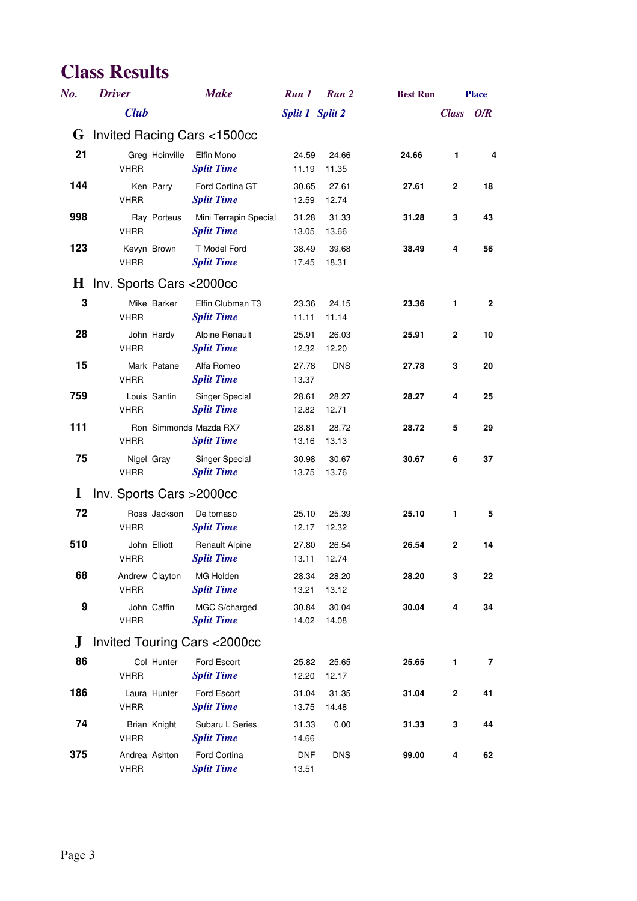| No.      | <b>Driver</b>                 | <b>Make</b>                                 | Run 1               | Run 2          | <b>Best Run</b> |              | <b>Place</b> |
|----------|-------------------------------|---------------------------------------------|---------------------|----------------|-----------------|--------------|--------------|
|          | <b>Club</b>                   |                                             | Split 1 Split 2     |                |                 | <b>Class</b> | O/R          |
|          |                               | <b>G</b> Invited Racing Cars $\lt$ 1500cc   |                     |                |                 |              |              |
| 21       | Greg Hoinville<br><b>VHRR</b> | Elfin Mono<br><b>Split Time</b>             | 24.59<br>11.19      | 24.66<br>11.35 | 24.66           | 1            | 4            |
| 144      | Ken Parry<br><b>VHRR</b>      | Ford Cortina GT<br><b>Split Time</b>        | 30.65<br>12.59      | 27.61<br>12.74 | 27.61           | $\mathbf{2}$ | 18           |
| 998      | Ray Porteus<br><b>VHRR</b>    | Mini Terrapin Special<br><b>Split Time</b>  | 31.28<br>13.05      | 31.33<br>13.66 | 31.28           | 3            | 43           |
| 123      | Kevyn Brown<br><b>VHRR</b>    | T Model Ford<br><b>Split Time</b>           | 38.49<br>17.45      | 39.68<br>18.31 | 38.49           | 4            | 56           |
|          | H Inv. Sports Cars <2000cc    |                                             |                     |                |                 |              |              |
| 3        | Mike Barker<br><b>VHRR</b>    | Elfin Clubman T3<br><b>Split Time</b>       | 23.36<br>11.11      | 24.15<br>11.14 | 23.36           | 1            | $\mathbf{2}$ |
| 28       | John Hardy<br><b>VHRR</b>     | <b>Alpine Renault</b><br><b>Split Time</b>  | 25.91<br>12.32      | 26.03<br>12.20 | 25.91           | $\mathbf{2}$ | 10           |
| 15       | Mark Patane<br><b>VHRR</b>    | Alfa Romeo<br><b>Split Time</b>             | 27.78<br>13.37      | <b>DNS</b>     | 27.78           | 3            | 20           |
| 759      | Louis Santin<br><b>VHRR</b>   | Singer Special<br><b>Split Time</b>         | 28.61<br>12.82      | 28.27<br>12.71 | 28.27           | 4            | 25           |
| 111      | <b>VHRR</b>                   | Ron Simmonds Mazda RX7<br><b>Split Time</b> | 28.81<br>13.16      | 28.72<br>13.13 | 28.72           | 5            | 29           |
| 75       | Nigel Gray<br><b>VHRR</b>     | Singer Special<br><b>Split Time</b>         | 30.98<br>13.75      | 30.67<br>13.76 | 30.67           | 6            | 37           |
| $\bf{l}$ | Inv. Sports Cars > 2000cc     |                                             |                     |                |                 |              |              |
| 72       | Ross Jackson<br><b>VHRR</b>   | De tomaso<br><b>Split Time</b>              | 25.10<br>12.17      | 25.39<br>12.32 | 25.10           | $\mathbf{1}$ | 5            |
| 510      | John Elliott<br><b>VHRR</b>   | <b>Renault Alpine</b><br><b>Split Time</b>  | 27.80<br>13.11      | 26.54<br>12.74 | 26.54           | $\mathbf{2}$ | 14           |
| 68       | Andrew Clayton<br><b>VHRR</b> | MG Holden<br><b>Split Time</b>              | 28.34<br>13.21      | 28.20<br>13.12 | 28.20           | 3            | 22           |
| 9        | John Caffin<br><b>VHRR</b>    | MGC S/charged<br><b>Split Time</b>          | 30.84<br>14.02      | 30.04<br>14.08 | 30.04           | 4            | 34           |
| $\bf J$  |                               | <b>Invited Touring Cars &lt;2000cc</b>      |                     |                |                 |              |              |
| 86       | Col Hunter<br><b>VHRR</b>     | Ford Escort<br><b>Split Time</b>            | 25.82<br>12.20      | 25.65<br>12.17 | 25.65           | 1            | 7            |
| 186      | Laura Hunter<br><b>VHRR</b>   | Ford Escort<br><b>Split Time</b>            | 31.04<br>13.75      | 31.35<br>14.48 | 31.04           | $\bf 2$      | 41           |
| 74       | Brian Knight<br><b>VHRR</b>   | Subaru L Series<br><b>Split Time</b>        | 31.33<br>14.66      | 0.00           | 31.33           | 3            | 44           |
| 375      | Andrea Ashton<br><b>VHRR</b>  | Ford Cortina<br><b>Split Time</b>           | <b>DNF</b><br>13.51 | <b>DNS</b>     | 99.00           | 4            | 62           |